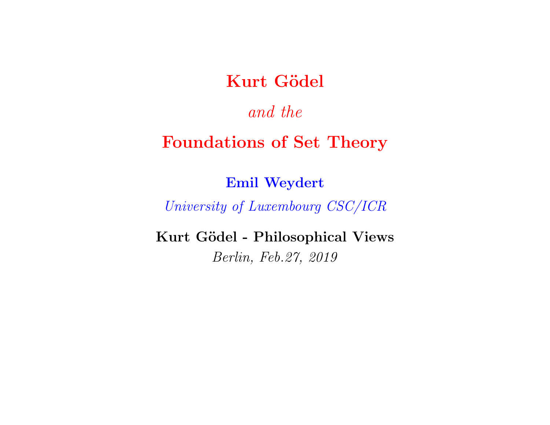### Kurt Gödel

### and the

# Foundations of Set Theory

#### Emil Weydert

#### University of Luxembourg CSC/ICR

#### Kurt Gödel - Philosophical Views

#### Berlin, Feb.27, 2019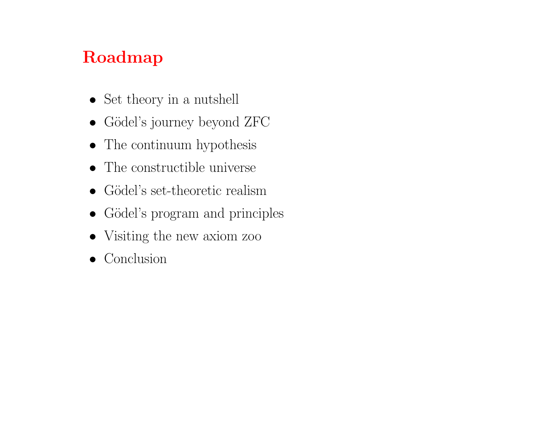# Roadmap

- Set theory in a nutshell
- Gödel's journey beyond ZFC
- The continuum hypothesis
- The constructible universe
- $\bullet$  Gödel's set-theoretic realism
- Gödel's program and principles
- Visiting the new axiom zoo
- Conclusion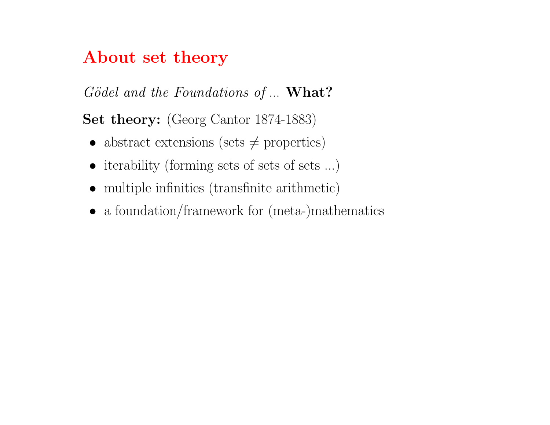### About set theory

Gödel and the Foundations of ... What?

Set theory: (Georg Cantor 1874-1883)

- abstract extensions (sets  $\neq$  properties)
- iterability (forming sets of sets of sets ...)
- multiple infinities (transfinite arithmetic)
- a foundation/framework for (meta-)mathematics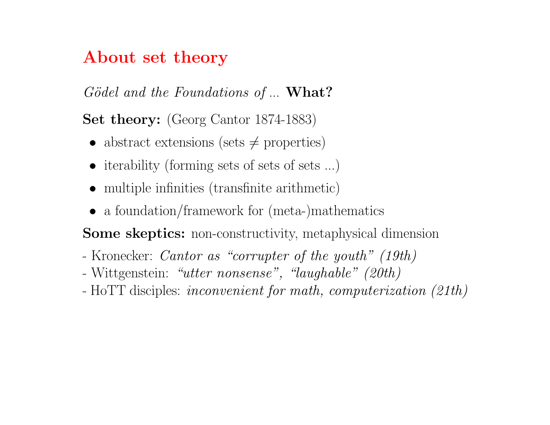### About set theory

 $Gödel$  and the Foundations of  $\ldots$  What?

Set theory: (Georg Cantor 1874-1883)

- abstract extensions (sets  $\neq$  properties)
- iterability (forming sets of sets of sets ...)
- multiple infinities (transfinite arithmetic)
- a foundation/framework for (meta-)mathematics

Some skeptics: non-constructivity, metaphysical dimension

- Kronecker: Cantor as "corrupter of the youth" (19th)
- Wittgenstein: "utter nonsense", "laughable" (20th)
- HoTT disciples: inconvenient for math, computerization (21th)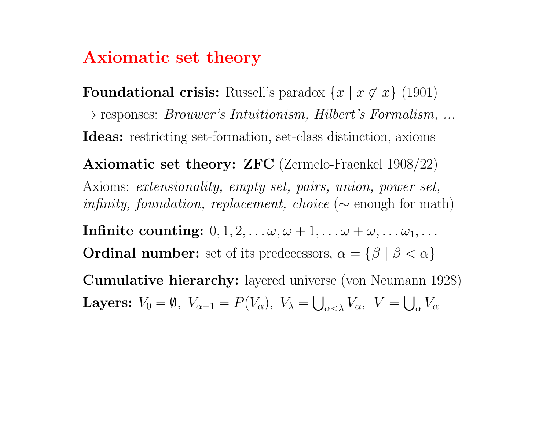### Axiomatic set theory

**Foundational crisis:** Russell's paradox  $\{x \mid x \notin x\}$  (1901)  $\rightarrow$  responses: *Brouwer's Intuitionism, Hilbert's Formalism, ...* Ideas: restricting set-formation, set-class distinction, axioms

Axiomatic set theory: ZFC (Zermelo-Fraenkel 1908/22) Axioms: extensionality, empty set, pairs, union, power set, infinity, foundation, replacement, choice ( $\sim$  enough for math)

Infinite counting:  $0, 1, 2, \ldots \omega, \omega + 1, \ldots \omega + \omega, \ldots \omega_1, \ldots$ **Ordinal number:** set of its predecessors,  $\alpha = \{\beta \mid \beta < \alpha\}$ 

Cumulative hierarchy: layered universe (von Neumann 1928) Layers:  $V_0 = \emptyset$ ,  $V_{\alpha+1} = P(V_{\alpha})$ ,  $V_{\lambda} = \bigcup_{\alpha < \lambda} V_{\alpha}$ ,  $V = \bigcup_{\alpha} V_{\alpha}$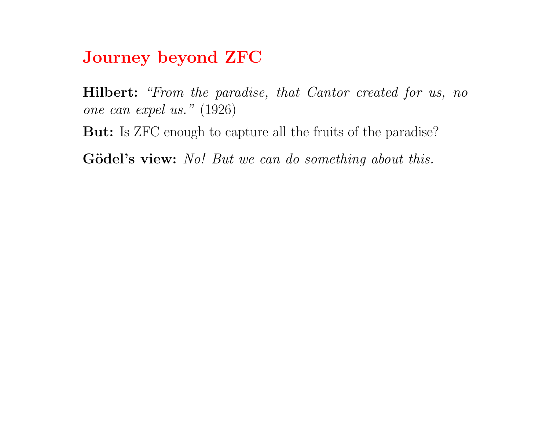Journey beyond ZFC

Hilbert: "From the paradise, that Cantor created for us, no one can expel us." (1926) But: Is ZFC enough to capture all the fruits of the paradise?

Gödel's view: No! But we can do something about this.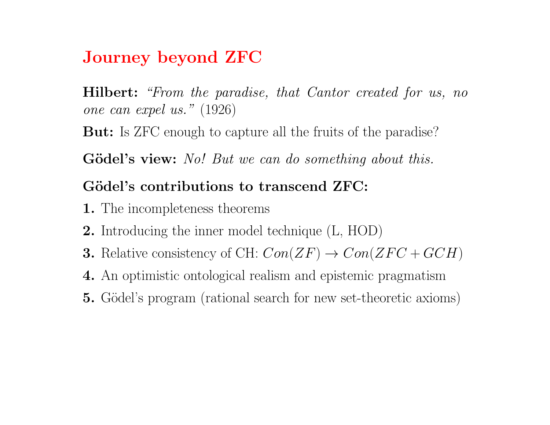# Journey beyond ZFC

Hilbert: "From the paradise, that Cantor created for us, no one can expel us." (1926)

But: Is ZFC enough to capture all the fruits of the paradise?

Gödel's view: No! But we can do something about this.

#### Gödel's contributions to transcend ZFC:

- 1. The incompleteness theorems
- 2. Introducing the inner model technique (L, HOD)
- **3.** Relative consistency of CH:  $Con(ZF) \rightarrow Con(ZFC+GCH)$
- 4. An optimistic ontological realism and epistemic pragmatism
- **5.** Gödel's program (rational search for new set-theoretic axioms)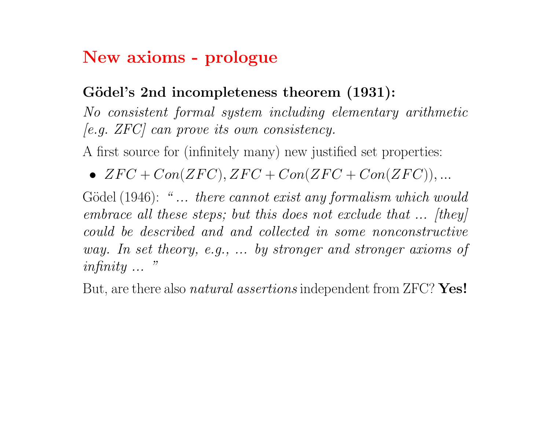### New axioms - prologue

#### Gödel's 2nd incompleteness theorem (1931):

No consistent formal system including elementary arithmetic  $[e.g. ZFC]$  can prove its own consistency.

A first source for (infinitely many) new justified set properties:

•  $ZFC + Con(ZFC), ZFC + Con(ZFC + Con(ZFC)),...$ 

Gödel (1946): "... there cannot exist any formalism which would embrace all these steps; but this does not exclude that ... [they] could be described and and collected in some nonconstructive way. In set theory, e.g., ... by stronger and stronger axioms of infinity ... "

But, are there also *natural assertions* independent from ZFC? Yes!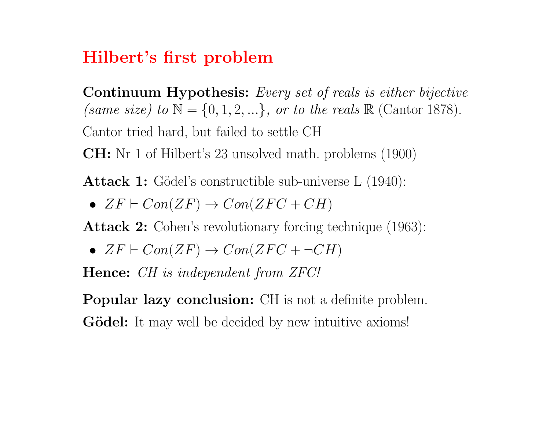### Hilbert's first problem

Continuum Hypothesis: Every set of reals is either bijective (same size) to  $\mathbb{N} = \{0, 1, 2, \ldots\}$ , or to the reals  $\mathbb{R}$  (Cantor 1878). Cantor tried hard, but failed to settle CH CH: Nr 1 of Hilbert's 23 unsolved math. problems (1900)

**Attack 1:** Gödel's constructible sub-universe  $L(1940)$ :

•  $ZF \vdash Con(ZF) \rightarrow Con(ZFC + CH)$ 

Attack 2: Cohen's revolutionary forcing technique (1963):

•  $ZF \vdash Con(ZF) \rightarrow Con(ZFC + \neg CH)$ 

Hence: *CH* is independent from *ZFC!* 

Popular lazy conclusion: CH is not a definite problem. **Gödel:** It may well be decided by new intuitive axioms!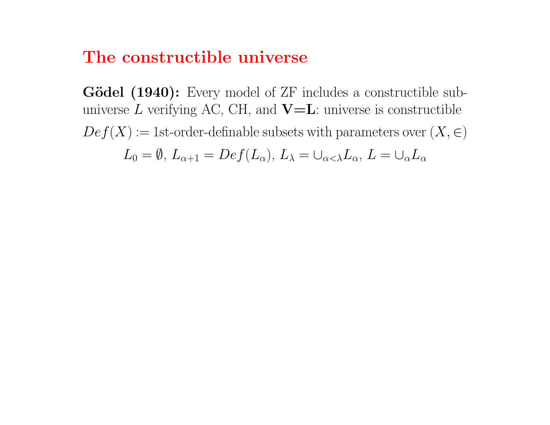#### The constructible universe

Gödel (1940): Every model of ZF includes a constructible subuniverse  $L$  verifying AC, CH, and  $\mathbf{V}=\mathbf{L}$ : universe is constructible  $Def(X) := 1$ st-order-definable subsets with parameters over  $(X, \in)$  $L_0 = \emptyset$ ,  $L_{\alpha+1} = Def(L_\alpha)$ ,  $L_\lambda = \cup_{\alpha<\lambda} L_\alpha$ ,  $L = \cup_{\alpha} L_\alpha$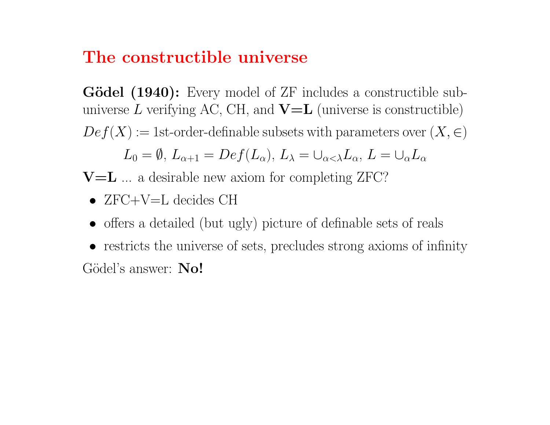### The constructible universe

Gödel (1940): Every model of ZF includes a constructible subuniverse  $L$  verifying AC, CH, and  $\mathbf{V}=\mathbf{L}$  (universe is constructible)  $Def(X) := 1$ st-order-definable subsets with parameters over  $(X, \in)$ 

$$
L_0 = \emptyset, L_{\alpha+1} = Def(L_{\alpha}), L_{\lambda} = \cup_{\alpha < \lambda} L_{\alpha}, L = \cup_{\alpha} L_{\alpha}
$$

 $V=L$  ... a desirable new axiom for completing ZFC?

- $ZFC+V=L$  decides  $CH$
- offers a detailed (but ugly) picture of definable sets of reals
- restricts the universe of sets, precludes strong axioms of infinity Gödel's answer: No!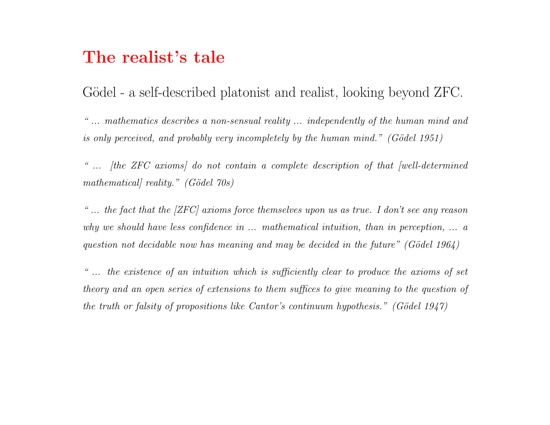#### The realist's tale

Gödel - a self-described platonist and realist, looking beyond ZFC.

" ... mathematics describes a non-sensual reality ... independently of the human mind and is only perceived, and probably very incompletely by the human mind." (Gödel 1951)

" ... [the ZFC axioms] do not contain a complete description of that [well-determined mathematical reality."  $(Gödel 70s)$ 

"... the fact that the  $\left[{\rm ZFC}\right]$  axioms force themselves upon us as true. I don't see any reason why we should have less confidence in ... mathematical intuition, than in perception, ... a question not decidable now has meaning and may be decided in the future" (Gödel 1964)

" ... the existence of an intuition which is sufficiently clear to produce the axioms of set theory and an open series of extensions to them suffices to give meaning to the question of the truth or falsity of propositions like Cantor's continuum hypothesis." (Gödel 1947)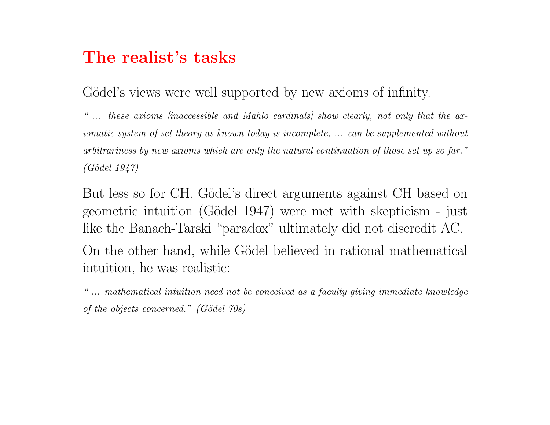### The realist's tasks

Gödel's views were well supported by new axioms of infinity.

" ... these axioms [inaccessible and Mahlo cardinals] show clearly, not only that the axiomatic system of set theory as known today is incomplete, ... can be supplemented without arbitrariness by new axioms which are only the natural continuation of those set up so far."  $(Gödel 1947)$ 

But less so for CH. Gödel's direct arguments against CH based on geometric intuition (G¨odel 1947) were met with skepticism - just like the Banach-Tarski "paradox" ultimately did not discredit AC. On the other hand, while Gödel believed in rational mathematical intuition, he was realistic:

" ... mathematical intuition need not be conceived as a faculty giving immediate knowledge of the objects concerned."  $(Gödel 70s)$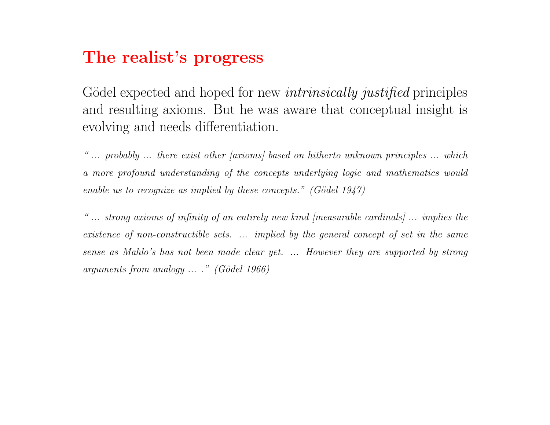### The realist's progress

Gödel expected and hoped for new *intrinsically justified* principles and resulting axioms. But he was aware that conceptual insight is evolving and needs differentiation.

" ... probably ... there exist other [axioms] based on hitherto unknown principles ... which a more profound understanding of the concepts underlying logic and mathematics would enable us to recognize as implied by these concepts." (Gödel 1947)

" ... strong axioms of infinity of an entirely new kind [measurable cardinals] ... implies the existence of non-constructible sets. ... implied by the general concept of set in the same sense as Mahlo's has not been made clear yet. ... However they are supported by strong arguments from analogy  $\ldots$  " (Gödel 1966)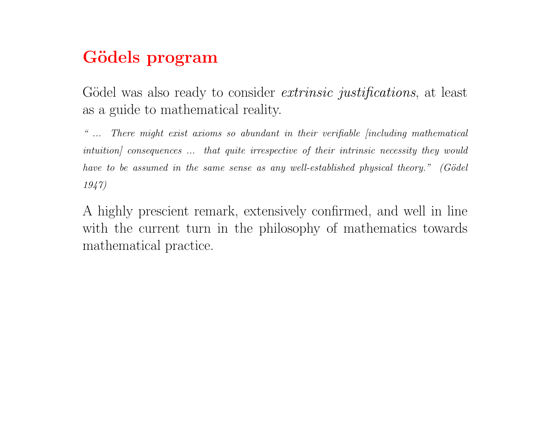## Gödels program

Gödel was also ready to consider *extrinsic justifications*, at least as a guide to mathematical reality.

" ... There might exist axioms so abundant in their verifiable [including mathematical intuition] consequences ... that quite irrespective of their intrinsic necessity they would have to be assumed in the same sense as any well-established physical theory." (Gödel 1947)

A highly prescient remark, extensively confirmed, and well in line with the current turn in the philosophy of mathematics towards mathematical practice.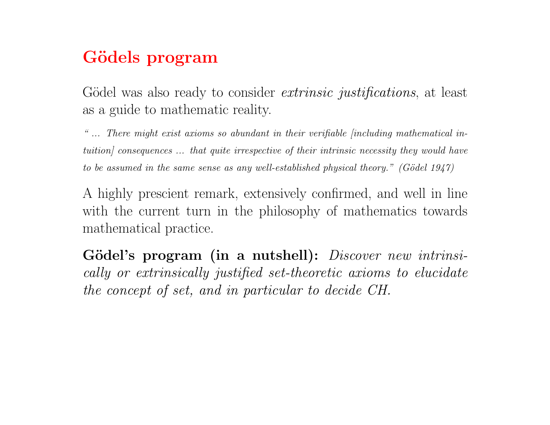## Gödels program

Gödel was also ready to consider *extrinsic justifications*, at least as a guide to mathematic reality.

" ... There might exist axioms so abundant in their verifiable [including mathematical intuition] consequences ... that quite irrespective of their intrinsic necessity they would have to be assumed in the same sense as any well-established physical theory." (Gödel 1947)

A highly prescient remark, extensively confirmed, and well in line with the current turn in the philosophy of mathematics towards mathematical practice.

Gödel's program (in a nutshell): *Discover new intrinsi*cally or extrinsically justified set-theoretic axioms to elucidate the concept of set, and in particular to decide CH.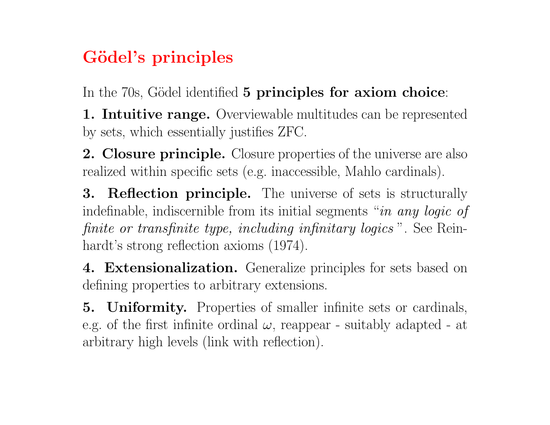# Gödel's principles

In the 70s, Gödel identified 5 principles for axiom choice:

**1. Intuitive range.** Overviewable multitudes can be represented by sets, which essentially justifies ZFC.

2. Closure principle. Closure properties of the universe are also realized within specific sets (e.g. inaccessible, Mahlo cardinals).

**3. Reflection principle.** The universe of sets is structurally indefinable, indiscernible from its initial segments "in any logic of finite or transfinite type, including infinitary logics ". See Reinhardt's strong reflection axioms (1974).

4. Extensionalization. Generalize principles for sets based on defining properties to arbitrary extensions.

5. Uniformity. Properties of smaller infinite sets or cardinals, e.g. of the first infinite ordinal  $\omega$ , reappear - suitably adapted - at arbitrary high levels (link with reflection).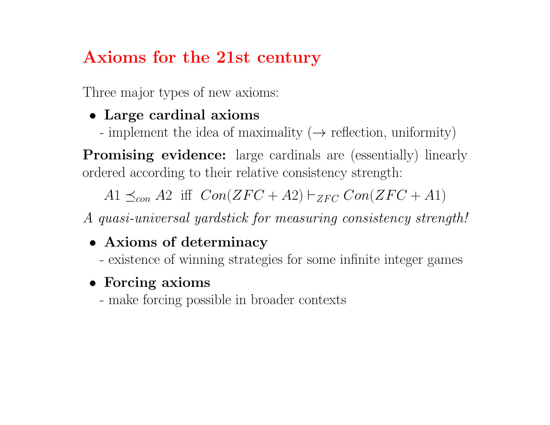# Axioms for the 21st century

Three major types of new axioms:

### • Large cardinal axioms

- implement the idea of maximality  $(\rightarrow$  reflection, uniformity)

**Promising evidence:** large cardinals are (essentially) linearly ordered according to their relative consistency strength:

 $A1 \preceq_{con} A2$  iff  $Con(ZFC + A2) \vdash_{ZFC} Con(ZFC + A1)$ 

A quasi-universal yardstick for measuring consistency strength!

### • Axioms of determinacy

- existence of winning strategies for some infinite integer games

### • Forcing axioms

- make forcing possible in broader contexts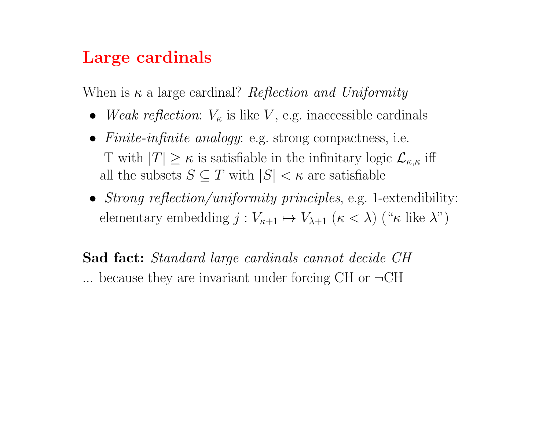### Large cardinals

When is  $\kappa$  a large cardinal? Reflection and Uniformity

- Weak reflection:  $V_{\kappa}$  is like V, e.g. inaccessible cardinals
- Finite-infinite analogy: e.g. strong compactness, i.e. T with  $|T| \geq \kappa$  is satisfiable in the infinitary logic  $\mathcal{L}_{\kappa,\kappa}$  iff all the subsets  $S \subseteq T$  with  $|S| < \kappa$  are satisfiable
- Strong reflection/uniformity principles, e.g. 1-extendibility: elementary embedding  $j : V_{\kappa+1} \mapsto V_{\lambda+1}$   $(\kappa < \lambda)$  (" $\kappa$  like  $\lambda$ ")

Sad fact: Standard large cardinals cannot decide CH ... because they are invariant under forcing CH or  $\neg$ CH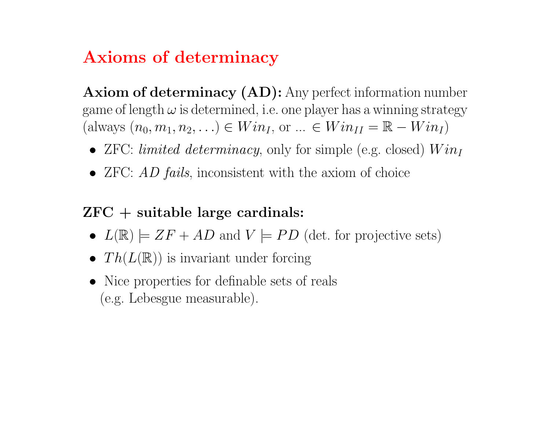# Axioms of determinacy

Axiom of determinacy (AD): Any perfect information number game of length  $\omega$  is determined, i.e. one player has a winning strategy (always  $(n_0, m_1, n_2, \ldots) \in Win_I$ , or  $\ldots \in Win_{II} = \mathbb{R} - Win_I$ )

- ZFC: limited determinacy, only for simple (e.g. closed)  $Win_I$
- ZFC: AD fails, inconsistent with the axiom of choice

### $ZFC + suitable large cardinals:$

- $L(\mathbb{R}) \models ZF + AD$  and  $V \models PD$  (det. for projective sets)
- $Th(L(\mathbb{R}))$  is invariant under forcing
- Nice properties for definable sets of reals (e.g. Lebesgue measurable).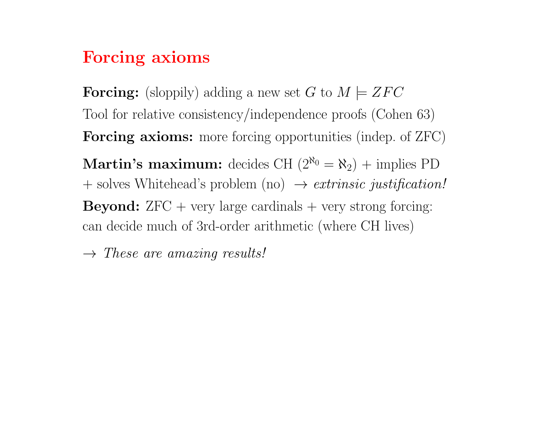### Forcing axioms

**Forcing:** (sloppily) adding a new set G to  $M \models ZFC$ Tool for relative consistency/independence proofs (Cohen 63) Forcing axioms: more forcing opportunities (indep. of ZFC) **Martin's maximum:** decides CH  $(2^{\aleph_0} = \aleph_2)$  + implies PD  $+$  solves Whitehead's problem (no)  $\rightarrow$  *extrinsic justification!* **Beyond:**  $ZFC + very large cardinals + very strong forcing:$ can decide much of 3rd-order arithmetic (where CH lives)

 $\rightarrow$  These are amazing results!